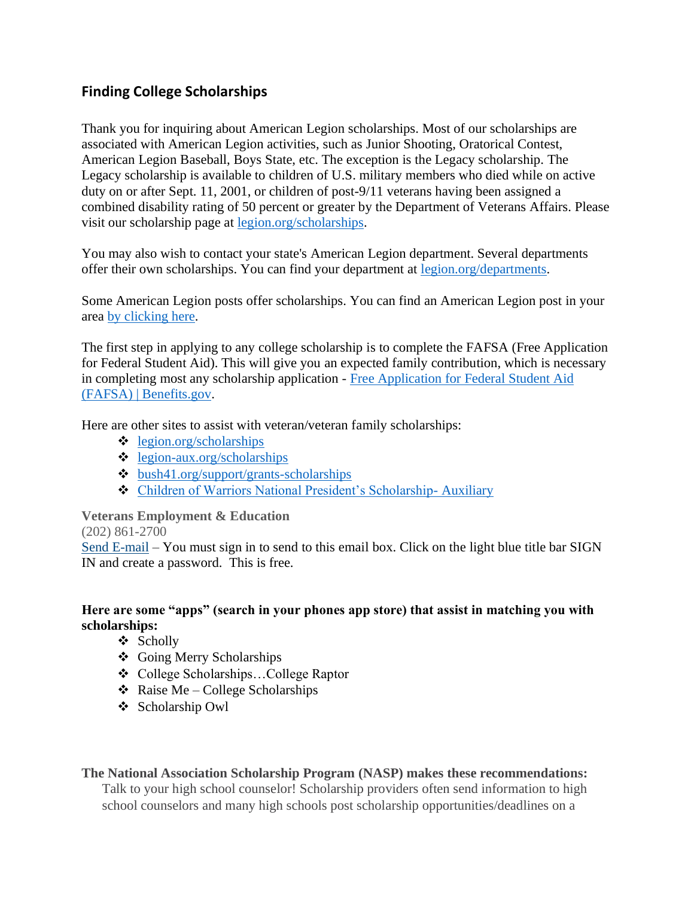## **Finding College Scholarships**

Thank you for inquiring about American Legion scholarships. Most of our scholarships are associated with American Legion activities, such as Junior Shooting, Oratorical Contest, American Legion Baseball, Boys State, etc. The exception is the Legacy scholarship. The Legacy scholarship is available to children of U.S. military members who died while on active duty on or after Sept. 11, 2001, or children of post-9/11 veterans having been assigned a combined disability rating of 50 percent or greater by the Department of Veterans Affairs. Please visit our scholarship page at [legion.org/scholarships.](http://www.legion.org/scholarships)

You may also wish to contact your state's American Legion department. Several departments offer their own scholarships. You can find your department at [legion.org/departments.](https://www.legion.org/departments)

Some American Legion posts offer scholarships. You can find an American Legion post in your area [by clicking here.](https://mylegion.org/PersonifyEbusiness/Find-a-Post)

The first step in applying to any college scholarship is to complete the FAFSA (Free Application for Federal Student Aid). This will give you an expected family contribution, which is necessary in completing most any scholarship application - Free Application for Federal Student Aid [\(FAFSA\) | Benefits.gov.](https://www.benefits.gov/benefit/4426)

Here are other sites to assist with veteran/veteran family scholarships:

- ❖ [legion.org/scholarships](https://www.legion.org/scholarships)
- ❖ [legion-aux.org/scholarships](https://www.legion-aux.org/scholarships)
- ❖ [bush41.org/support/grants-scholarships](https://www.bush41.org/support/grants-scholarships)
- ❖ [Children of Warriors National President's Scholarship-](https://www.legion-aux.org/Scholarships/Children-of-Warriors#:~:text=a%20nation%2C%20care.-,The%20American%20Legion%20Auxiliary%20sponsors%20the%20Children%20of%20Warriors%20National,and%20volunteer%20in%20their%20communities) Auxiliary

**Veterans Employment & Education**

(202) 861-2700

[Send E-mail](https://www.legion.org/contact/economic) – You must sign in to send to this email box. Click on the light blue title bar SIGN IN and create a password. This is free.

## **Here are some "apps" (search in your phones app store) that assist in matching you with scholarships:**

- ❖ Scholly
- ❖ Going Merry Scholarships
- ❖ College Scholarships…College Raptor
- $\triangleleft$  Raise Me College Scholarships
- ❖ Scholarship Owl

## **The National Association Scholarship Program (NASP) makes these recommendations:**

Talk to your high school counselor! Scholarship providers often send information to high school counselors and many high schools post scholarship opportunities/deadlines on a